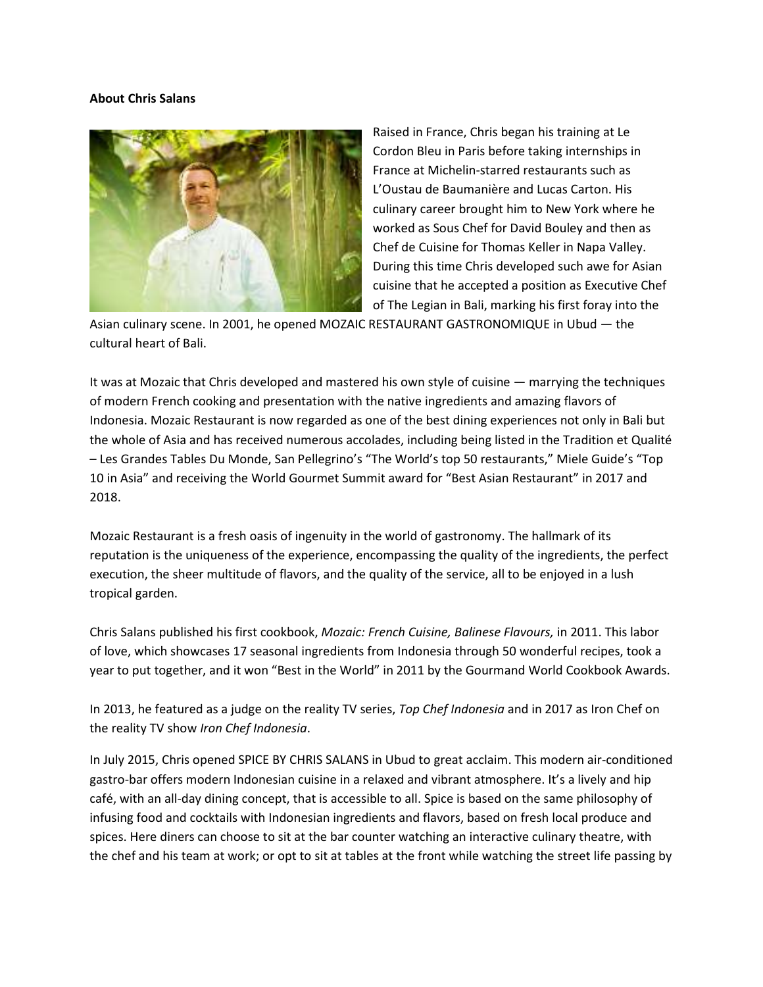## **About Chris Salans**



Raised in France, Chris began his training at Le Cordon Bleu in Paris before taking internships in France at Michelin-starred restaurants such as L'Oustau de Baumanière and Lucas Carton. His culinary career brought him to New York where he worked as Sous Chef for David Bouley and then as Chef de Cuisine for Thomas Keller in Napa Valley. During this time Chris developed such awe for Asian cuisine that he accepted a position as Executive Chef of The Legian in Bali, marking his first foray into the

Asian culinary scene. In 2001, he opened MOZAIC RESTAURANT GASTRONOMIQUE in Ubud — the cultural heart of Bali.

It was at Mozaic that Chris developed and mastered his own style of cuisine — marrying the techniques of modern French cooking and presentation with the native ingredients and amazing flavors of Indonesia. Mozaic Restaurant is now regarded as one of the best dining experiences not only in Bali but the whole of Asia and has received numerous accolades, including being listed in the Tradition et Qualité – Les Grandes Tables Du Monde, San Pellegrino's "The World's top 50 restaurants," Miele Guide's "Top 10 in Asia" and receiving the World Gourmet Summit award for "Best Asian Restaurant" in 2017 and 2018.

Mozaic Restaurant is a fresh oasis of ingenuity in the world of gastronomy. The hallmark of its reputation is the uniqueness of the experience, encompassing the quality of the ingredients, the perfect execution, the sheer multitude of flavors, and the quality of the service, all to be enjoyed in a lush tropical garden.

Chris Salans published his first cookbook, *Mozaic: French Cuisine, Balinese Flavours,* in 2011. This labor of love, which showcases 17 seasonal ingredients from Indonesia through 50 wonderful recipes, took a year to put together, and it won "Best in the World" in 2011 by the Gourmand World Cookbook Awards.

In 2013, he featured as a judge on the reality TV series, *Top Chef Indonesia* and in 2017 as Iron Chef on the reality TV show *Iron Chef Indonesia*.

In July 2015, Chris opened SPICE BY CHRIS SALANS in Ubud to great acclaim. This modern air-conditioned gastro-bar offers modern Indonesian cuisine in a relaxed and vibrant atmosphere. It's a lively and hip café, with an all-day dining concept, that is accessible to all. Spice is based on the same philosophy of infusing food and cocktails with Indonesian ingredients and flavors, based on fresh local produce and spices. Here diners can choose to sit at the bar counter watching an interactive culinary theatre, with the chef and his team at work; or opt to sit at tables at the front while watching the street life passing by